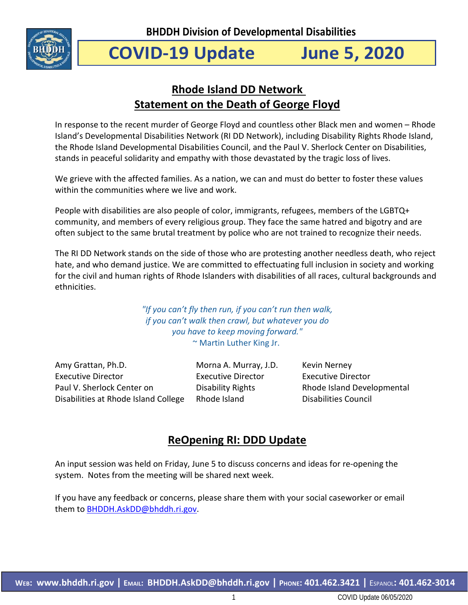

# **COVID-19 Update June 5, 2020**

## **Rhode Island DD Network Statement on the Death of George Floyd**

In response to the recent murder of George Floyd and countless other Black men and women – Rhode Island's Developmental Disabilities Network (RI DD Network), including Disability Rights Rhode Island, the Rhode Island Developmental Disabilities Council, and the Paul V. Sherlock Center on Disabilities, stands in peaceful solidarity and empathy with those devastated by the tragic loss of lives.

We grieve with the affected families. As a nation, we can and must do better to foster these values within the communities where we live and work.

People with disabilities are also people of color, immigrants, refugees, members of the LGBTQ+ community, and members of every religious group. They face the same hatred and bigotry and are often subject to the same brutal treatment by police who are not trained to recognize their needs.

The RI DD Network stands on the side of those who are protesting another needless death, who reject hate, and who demand justice. We are committed to effectuating full inclusion in society and working for the civil and human rights of Rhode Islanders with disabilities of all races, cultural backgrounds and ethnicities.

> *"If you can't fly then run, if you can't run then walk, if you can't walk then crawl, but whatever you do you have to keep moving forward."* ~ Martin Luther King Jr.

Amy Grattan, Ph.D. Executive Director Paul V. Sherlock Center on Disabilities at Rhode Island College Morna A. Murray, J.D. Executive Director Disability Rights Rhode Island

Kevin Nerney Executive Director Rhode Island Developmental Disabilities Council

## **ReOpening RI: DDD Update**

An input session was held on Friday, June 5 to discuss concerns and ideas for re-opening the system. Notes from the meeting will be shared next week.

If you have any feedback or concerns, please share them with your social caseworker or email them t[o BHDDH.AskDD@bhddh.ri.gov.](mailto:BHDDH.AskDD@bhddh.ri.gov)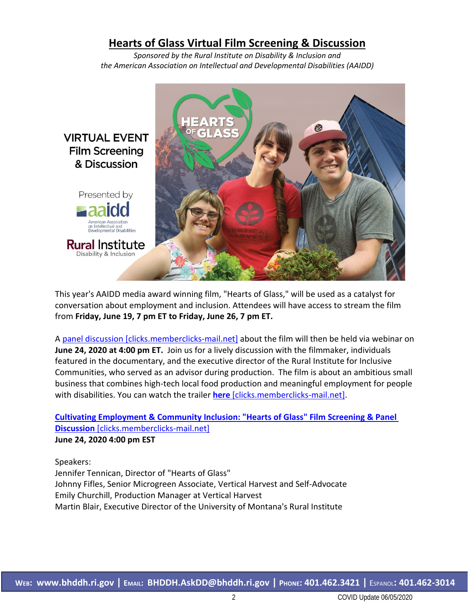## **Hearts of Glass Virtual Film Screening & Discussion**

*Sponsored by the Rural Institute on Disability & Inclusion and the American Association on Intellectual and Developmental Disabilities (AAIDD)*



This year's AAIDD media award winning film, "Hearts of Glass," will be used as a catalyst for conversation about employment and inclusion. Attendees will have access to stream the film from **Friday, June 19, 7 pm ET to Friday, June 26, 7 pm ET.** 

A panel discussion [\[clicks.memberclicks-mail.net\]](https://urldefense.proofpoint.com/v2/url?u=http-3A__clicks.memberclicks-2Dmail.net_ls_click-3Fupn-3DgSgGpJ7WfPawvDX-2D2F0Uzf2HKrO9AZIcg9oWtUpa8XKW-2D2FmL8j3DwIwajDxOZRprrs8xXv-2D2FMEZ2ayWN4X7DyC0575A2wy3Q9GhqOpvoI6Bh2-2D2B9AcTFqwePnOlYe2YM2DsSqLwH8-5F9GHvrPH8PmisUGEdK1wYnICyfGJ1BlmhQUjJ-2D2F9bR17-2D2BoEoIUCI-2D2FgGEuzAg7GAaaV4Nn66yuzESa6AZFe29zw-2D2BSiScliithA6sWLoIMucvjK-2D2Bifpn0KEpdqOMJzXRafykY8r-2D2FnF-2D2F9RpB6u-2D2FYnEpWnOLmEiKfpHnswrO4VQLIzAfmzI5GxqdBjMtpFCCpKH-2D2BvtJ1iurEg4tNpSEJK9bI6TEP4LgUIbMXECoazB60bO-2D2FZW4SbNNbxu-2D2BBFpUbja9eHu7ur8kajkgEzXaY3Gd8Kev6dOEWld6pr0IPqa4ulQbdtGez1c8XUpg9ekInR8fw29B&d=DwMCAg&c=tSLbvWYfvulPN3G_n48TUw&r=MK5_cp_uWT5Tbg1GiW5dGlI9Qmd5kiIyV2ZhyEUqORM&m=JhOJnF-5HJlTy5Gp-WTivAaTmihYIIt1WwIG3neEdno&s=uxAEEr2Ym_byRKJMH7BItmMbWJfJevu4ogCWX8Y4y8Q&e=) about the film will then be held via webinar on **June 24, 2020 at 4:00 pm ET.** Join us for a lively discussion with the filmmaker, individuals featured in the documentary, and the executive director of the Rural Institute for Inclusive Communities, who served as an advisor during production. The film is about an ambitious small business that combines high-tech local food production and meaningful employment for people with disabilities. You can watch the trailer **here** [\[clicks.memberclicks-mail.net\].](https://urldefense.proofpoint.com/v2/url?u=http-3A__clicks.memberclicks-2Dmail.net_ls_click-3Fupn-3DgSgGpJ7WfPawvDX-2D2F0Uzf2DKNX5v6B0VD58Ku8Smbx0xI7j02Ae9OOy658lMbhMpKOAwR-5F9GHvrPH8PmisUGEdK1wYnICyfGJ1BlmhQUjJ-2D2F9bR17-2D2BoEoIUCI-2D2FgGEuzAg7GAaaV4Nn66yuzESa6AZFe29zw-2D2BSiScliithA6sWLoIMucvjK-2D2Bifpn0KEpdqOMJzXRafykY8r-2D2FnF-2D2F9RpB6u-2D2FYnEpWnOLmEiKfpHnswrO4VQLIzAfmzI5GxqdBjMtpFCCpKH-2D2BvtHQXgOWf8SFw08T3G0ZQrtLWvQvaDQXHguqu8tdNNJQljKl3Bu6g-2D2BuMffw1SVHqLquvPrhlLyR1uLNKNm4G4l2H9CQkLSl-2D2BTOaxZvZ1aXu-2D2F9qoQRlEn1qX2Dy1DueBia-2D2B&d=DwMCAg&c=tSLbvWYfvulPN3G_n48TUw&r=MK5_cp_uWT5Tbg1GiW5dGlI9Qmd5kiIyV2ZhyEUqORM&m=JhOJnF-5HJlTy5Gp-WTivAaTmihYIIt1WwIG3neEdno&s=MRyRgJ2JYS_95YB2eM-f7lcWYDnV5UyXV6otItGsu9Y&e=)

**Cultivating [Employment](https://urldefense.proofpoint.com/v2/url?u=http-3A__clicks.memberclicks-2Dmail.net_ls_click-3Fupn-3DgSgGpJ7WfPawvDX-2D2F0Uzf2HKrO9AZIcg9oWtUpa8XKW-2D2FmL8j3DwIwajDxOZRprrs8xXv-2D2FMEZ2ayWN4X7DyC0575A2wy3Q9GhqOpvoI6Bh2-2D2B9AcTFqwePnOlYe2YM2DsSqRZop-5F9GHvrPH8PmisUGEdK1wYnICyfGJ1BlmhQUjJ-2D2F9bR17-2D2BoEoIUCI-2D2FgGEuzAg7GAaaV4Nn66yuzESa6AZFe29zw-2D2BSiScliithA6sWLoIMucvjK-2D2Bifpn0KEpdqOMJzXRafykY8r-2D2FnF-2D2F9RpB6u-2D2FYnEpWnOLmEiKfpHnswrO4VQLIzAfmzI5GxqdBjMtpFCCpKH-2D2BvtuEjCKqlfiqfgt-2D2Bjzd2ZceWXNJLtpO3vnB2uE3etCNRYxdyfd3xXy85Mos8ww-2D2FBTEQq5pu2PMvKtTKtViDzjnWfC2iXLYR66QEHpqblGqBPDAp3lPDS-2D2BK-2D2FNk2uWxYrqjE&d=DwMCAg&c=tSLbvWYfvulPN3G_n48TUw&r=MK5_cp_uWT5Tbg1GiW5dGlI9Qmd5kiIyV2ZhyEUqORM&m=JhOJnF-5HJlTy5Gp-WTivAaTmihYIIt1WwIG3neEdno&s=T2PsTS-ASfeHSN0eA4Pve6qJgBhNvplP62rwr767qcc&e=) & Community Inclusion: "Hearts of Glass" Film Screening & Panel Discussion** [\[clicks.memberclicks-mail.net\]](https://urldefense.proofpoint.com/v2/url?u=http-3A__clicks.memberclicks-2Dmail.net_ls_click-3Fupn-3DgSgGpJ7WfPawvDX-2D2F0Uzf2HKrO9AZIcg9oWtUpa8XKW-2D2FmL8j3DwIwajDxOZRprrs8xXv-2D2FMEZ2ayWN4X7DyC0575A2wy3Q9GhqOpvoI6Bh2-2D2B9AcTFqwePnOlYe2YM2DsSqRZop-5F9GHvrPH8PmisUGEdK1wYnICyfGJ1BlmhQUjJ-2D2F9bR17-2D2BoEoIUCI-2D2FgGEuzAg7GAaaV4Nn66yuzESa6AZFe29zw-2D2BSiScliithA6sWLoIMucvjK-2D2Bifpn0KEpdqOMJzXRafykY8r-2D2FnF-2D2F9RpB6u-2D2FYnEpWnOLmEiKfpHnswrO4VQLIzAfmzI5GxqdBjMtpFCCpKH-2D2BvtuEjCKqlfiqfgt-2D2Bjzd2ZceWXNJLtpO3vnB2uE3etCNRYxdyfd3xXy85Mos8ww-2D2FBTEQq5pu2PMvKtTKtViDzjnWfC2iXLYR66QEHpqblGqBPDAp3lPDS-2D2BK-2D2FNk2uWxYrqjE&d=DwMCAg&c=tSLbvWYfvulPN3G_n48TUw&r=MK5_cp_uWT5Tbg1GiW5dGlI9Qmd5kiIyV2ZhyEUqORM&m=JhOJnF-5HJlTy5Gp-WTivAaTmihYIIt1WwIG3neEdno&s=T2PsTS-ASfeHSN0eA4Pve6qJgBhNvplP62rwr767qcc&e=) **June 24, 2020 4:00 pm EST**

Speakers:

Jennifer Tennican, Director of "Hearts of Glass" Johnny Fifles, Senior Microgreen Associate, Vertical Harvest and Self-Advocate Emily Churchill, Production Manager at Vertical Harvest Martin Blair, Executive Director of the University of Montana's Rural Institute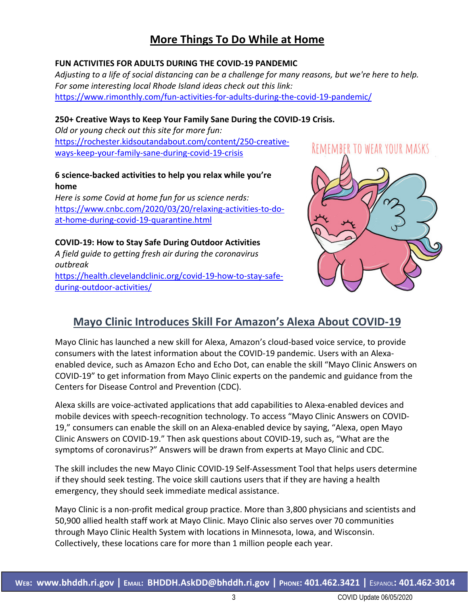## **More Things To Do While at Home**

## **FUN ACTIVITIES FOR ADULTS DURING THE COVID-19 PANDEMIC**

*Adjusting to a life of social distancing can be a challenge for many reasons, but we're here to help. For some interesting local Rhode Island ideas check out this link:* <https://www.rimonthly.com/fun-activities-for-adults-during-the-covid-19-pandemic/>

## **250+ Creative Ways to Keep Your Family Sane During the COVID-19 Crisis.**

*Old or young check out this site for more fun:* [https://rochester.kidsoutandabout.com/content/250-creative](https://rochester.kidsoutandabout.com/content/250-creative-ways-keep-your-family-sane-during-covid-19-crisis)[ways-keep-your-family-sane-during-covid-19-crisis](https://rochester.kidsoutandabout.com/content/250-creative-ways-keep-your-family-sane-during-covid-19-crisis)

## **6 science-backed activities to help you relax while you're home**

*Here is some Covid at home fun for us science nerds:* [https://www.cnbc.com/2020/03/20/relaxing-activities-to-do](https://www.cnbc.com/2020/03/20/relaxing-activities-to-do-at-home-during-covid-19-quarantine.html)[at-home-during-covid-19-quarantine.html](https://www.cnbc.com/2020/03/20/relaxing-activities-to-do-at-home-during-covid-19-quarantine.html)

**COVID-19: How to Stay Safe During Outdoor Activities** *A field guide to getting fresh air during the coronavirus outbreak* [https://health.clevelandclinic.org/covid-19-how-to-stay-safe](https://health.clevelandclinic.org/covid-19-how-to-stay-safe-during-outdoor-activities/)[during-outdoor-activities/](https://health.clevelandclinic.org/covid-19-how-to-stay-safe-during-outdoor-activities/)



## **Mayo Clinic Introduces Skill For Amazon's Alexa About COVID-19**

Mayo Clinic has launched a new skill for Alexa, Amazon's cloud-based voice service, to provide consumers with the latest information about the COVID-19 pandemic. Users with an Alexaenabled device, such as Amazon Echo and Echo Dot, can enable the skill "Mayo Clinic Answers on COVID-19" to get information from Mayo Clinic experts on the pandemic and guidance from the Centers for Disease Control and Prevention (CDC).

Alexa skills are voice-activated applications that add capabilities to Alexa-enabled devices and mobile devices with speech-recognition technology. To access "Mayo Clinic Answers on COVID-19," consumers can enable the skill on an Alexa-enabled device by saying, "Alexa, open Mayo Clinic Answers on COVID-19." Then ask questions about COVID-19, such as, "What are the symptoms of coronavirus?" Answers will be drawn from experts at Mayo Clinic and CDC.

The skill includes the new Mayo Clinic COVID-19 Self-Assessment Tool that helps users determine if they should seek testing. The voice skill cautions users that if they are having a health emergency, they should seek immediate medical assistance.

Mayo Clinic is a non-profit medical group practice. More than 3,800 physicians and scientists and 50,900 allied health staff work at Mayo Clinic. Mayo Clinic also serves over 70 communities through Mayo Clinic Health System with locations in Minnesota, Iowa, and Wisconsin. Collectively, these locations care for more than 1 million people each year.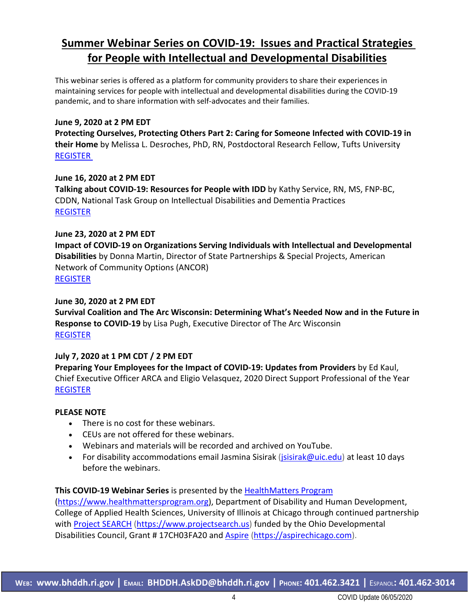## **Summer Webinar Series on COVID-19: Issues and Practical Strategies for People with Intellectual and Developmental Disabilities**

This webinar series is offered as a platform for community providers to share their experiences in maintaining services for people with intellectual and developmental disabilities during the COVID-19 pandemic, and to share information with self-advocates and their families.

#### **June 9, 2020 at 2 PM EDT**

**Protecting Ourselves, Protecting Others Part 2: Caring for Someone Infected with COVID-19 in their Home** by Melissa L. Desroches, PhD, RN, Postdoctoral Research Fellow, Tufts University [REGISTER](https://uichicago.webex.com/uichicago/onstage/g.php?MTID=eff7e3f5e49f0bba66fca5a9b4e506575)

#### **June 16, 2020 at 2 PM EDT**

**Talking about COVID-19: Resources for People with IDD** by Kathy Service, RN, MS, FNP-BC, CDDN, National Task Group on Intellectual Disabilities and Dementia Practices [REGISTER](https://uichicago.webex.com/uichicago/onstage/g.php?MTID=eaadce6e8e7a0e3963c21f243cc0ce0fe)

### **June 23, 2020 at 2 PM EDT**

**Impact of COVID-19 on Organizations Serving Individuals with Intellectual and Developmental Disabilities** by Donna Martin, Director of State Partnerships & Special Projects, American Network of Community Options (ANCOR) [REGISTER](https://uichicago.webex.com/uichicago/onstage/g.php?MTID=ee96ff511e16697d4bd481d22f3fd341e)

### **June 30, 2020 at 2 PM EDT**

**Survival Coalition and The Arc Wisconsin: Determining What's Needed Now and in the Future in Response to COVID-19** by Lisa Pugh, Executive Director of The Arc Wisconsin [REGISTER](https://uichicago.webex.com/uichicago/onstage/g.php?MTID=e237416940bcdd14898fe3ebd48df2ed3)

## **July 7, 2020 at 1 PM CDT / 2 PM EDT**

**Preparing Your Employees for the Impact of COVID-19: Updates from Providers** by Ed Kaul, Chief Executive Officer ARCA and Eligio Velasquez, 2020 Direct Support Professional of the Year [REGISTER](https://uichicago.webex.com/uichicago/onstage/g.php?MTID=e984bc89d8d872aab94ab27601bfb6d9a)

#### **PLEASE NOTE**

- There is no cost for these webinars.
- CEUs are not offered for these webinars.
- Webinars and materials will be recorded and archived on YouTube.
- For disability accommodations email Jasmina Sisirak (*jsisirak@uic.edu*) at least 10 days before the webinars.

## **This COVID-19 Webinar Series** is presented by the [HealthMatters](http://www.healthmattersprogram.org/) Program

[\(https://www.healthmattersprogram.org\)](https://www.healthmattersprogram.org/), Department of Disability and Human Development, College of Applied Health Sciences, University of Illinois at Chicago through continued partnership with Project [SEARCH](https://www.projectsearch.us/) [\(https://www.projectsearch.us\)](https://www.projectsearch.us/) funded by the Ohio Developmental Disabilities Council, Grant # 17CH03FA20 and [Aspire](https://aspirechicago.com/) [\(https://aspirechicago.com\)](https://aspirechicago.com/).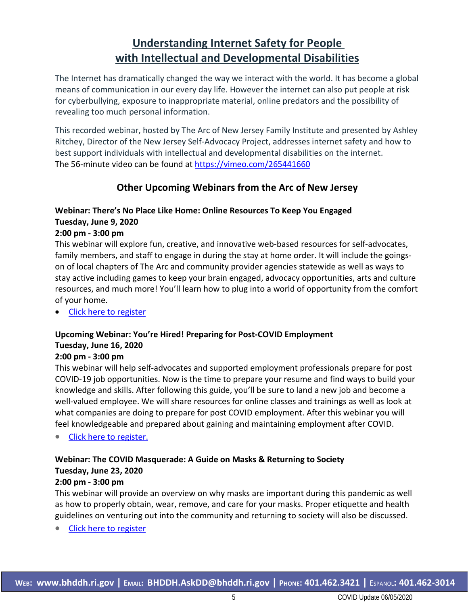## **Understanding Internet Safety for People with Intellectual and Developmental Disabilities**

The Internet has dramatically changed the way we interact with the world. It has become a global means of communication in our every day life. However the internet can also put people at risk for cyberbullying, exposure to inappropriate material, online predators and the possibility of revealing too much personal information.

This recorded webinar, hosted by The Arc of New Jersey Family Institute and presented by Ashley Ritchey, Director of the New Jersey Self-Advocacy Project, addresses internet safety and how to best support individuals with intellectual and developmental disabilities on the internet. The 56-minute video can be found at <https://vimeo.com/265441660>

## **Other Upcoming Webinars from the Arc of New Jersey**

## **Webinar: There's No Place Like Home: Online Resources To Keep You Engaged Tuesday, June 9, 2020**

### **2:00 pm - 3:00 pm**

This webinar will explore fun, creative, and innovative web-based resources for self-advocates, family members, and staff to engage in during the stay at home order. It will include the goingson of local chapters of The Arc and community provider agencies statewide as well as ways to stay active including games to keep your brain engaged, advocacy opportunities, arts and culture resources, and much more! You'll learn how to plug into a world of opportunity from the comfort of your home.

• Click here to [register](https://register.gotowebinar.com/register/5799776909044635663)

### **Upcoming Webinar: You're Hired! Preparing for Post-COVID Employment Tuesday, June 16, 2020**

#### **2:00 pm - 3:00 pm**

This webinar will help self-advocates and supported employment professionals prepare for post COVID-19 job opportunities. Now is the time to prepare your resume and find ways to build your knowledge and skills. After following this guide, you'll be sure to land a new job and become a well-valued employee. We will share resources for online classes and trainings as well as look at what companies are doing to prepare for post COVID employment. After this webinar you will feel knowledgeable and prepared about gaining and maintaining employment after COVID.

Click here to [register.](https://register.gotowebinar.com/register/197960878595676431)

## **Webinar: The COVID Masquerade: A Guide on Masks & Returning to Society Tuesday, June 23, 2020**

#### **2:00 pm - 3:00 pm**

This webinar will provide an overview on why masks are important during this pandemic as well as how to properly obtain, wear, remove, and care for your masks. Proper etiquette and health guidelines on venturing out into the community and returning to society will also be discussed.

• Click here to [register](https://register.gotowebinar.com/register/9157245615621476623)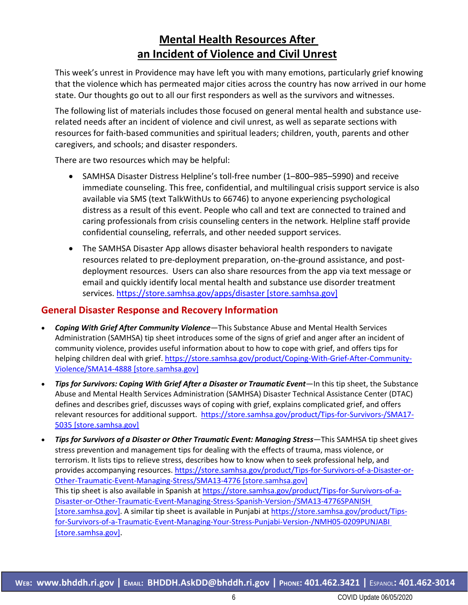## **Mental Health Resources After an Incident of Violence and Civil Unrest**

This week's unrest in Providence may have left you with many emotions, particularly grief knowing that the violence which has permeated major cities across the country has now arrived in our home state. Our thoughts go out to all our first responders as well as the survivors and witnesses.

The following list of materials includes those focused on general mental health and substance userelated needs after an incident of violence and civil unrest, as well as separate sections with resources for faith-based communities and spiritual leaders; children, youth, parents and other caregivers, and schools; and disaster responders.

There are two resources which may be helpful:

- SAMHSA Disaster Distress Helpline's toll-free number (1–800–985–5990) and receive immediate counseling. This free, confidential, and multilingual crisis support service is also available via SMS (text TalkWithUs to 66746) to anyone experiencing psychological distress as a result of this event. People who call and text are connected to trained and caring professionals from crisis counseling centers in the network. Helpline staff provide confidential counseling, referrals, and other needed support services.
- The SAMHSA Disaster App allows disaster behavioral health responders to navigate resources related to pre-deployment preparation, on-the-ground assistance, and postdeployment resources. Users can also share resources from the app via text message or email and quickly identify local mental health and substance use disorder treatment services. [https://store.samhsa.gov/apps/disaster \[store.samhsa.gov\]](https://urldefense.proofpoint.com/v2/url?u=https-3A__store.samhsa.gov_apps_disaster&d=DwMFAg&c=tSLbvWYfvulPN3G_n48TUw&r=6-OWRSlFXeCVbviSLfef_RppXB0xzLIrJMXc-xlpuuA&m=lZCAo4nPkB8PvoFUhowsM1Q9alEuJi7g1HbD7G9YyZA&s=4Mjo-AnNCDWVIksLFGI2F8ExTgeW-AoCU2O1P0EfRrQ&e=)

## **General Disaster Response and Recovery Information**

- *Coping With Grief After Community Violence*—This Substance Abuse and Mental Health Services Administration (SAMHSA) tip sheet introduces some of the signs of grief and anger after an incident of community violence, provides useful information about to how to cope with grief, and offers tips for helping children deal with grief. [https://store.samhsa.gov/product/Coping-With-Grief-After-Community-](https://urldefense.proofpoint.com/v2/url?u=https-3A__store.samhsa.gov_product_Coping-2DWith-2DGrief-2DAfter-2DCommunity-2DViolence_SMA14-2D4888&d=DwMFAg&c=tSLbvWYfvulPN3G_n48TUw&r=6-OWRSlFXeCVbviSLfef_RppXB0xzLIrJMXc-xlpuuA&m=lZCAo4nPkB8PvoFUhowsM1Q9alEuJi7g1HbD7G9YyZA&s=62J2sojzYEv9hyrjEoEZL8bShZas6OXhDeF_aoTx05o&e=)[Violence/SMA14-4888 \[store.samhsa.gov\]](https://urldefense.proofpoint.com/v2/url?u=https-3A__store.samhsa.gov_product_Coping-2DWith-2DGrief-2DAfter-2DCommunity-2DViolence_SMA14-2D4888&d=DwMFAg&c=tSLbvWYfvulPN3G_n48TUw&r=6-OWRSlFXeCVbviSLfef_RppXB0xzLIrJMXc-xlpuuA&m=lZCAo4nPkB8PvoFUhowsM1Q9alEuJi7g1HbD7G9YyZA&s=62J2sojzYEv9hyrjEoEZL8bShZas6OXhDeF_aoTx05o&e=)
- *Tips for Survivors: Coping With Grief After a Disaster or Traumatic Event*—In this tip sheet, the Substance Abuse and Mental Health Services Administration (SAMHSA) Disaster Technical Assistance Center (DTAC) defines and describes grief, discusses ways of coping with grief, explains complicated grief, and offers relevant resources for additional support. [https://store.samhsa.gov/product/Tips-for-Survivors-/SMA17-](https://urldefense.proofpoint.com/v2/url?u=https-3A__store.samhsa.gov_product_Tips-2Dfor-2DSurvivors-2D_SMA17-2D5035&d=DwMFAg&c=tSLbvWYfvulPN3G_n48TUw&r=6-OWRSlFXeCVbviSLfef_RppXB0xzLIrJMXc-xlpuuA&m=lZCAo4nPkB8PvoFUhowsM1Q9alEuJi7g1HbD7G9YyZA&s=6ThcRahIcmWP0aKtE5VZww1grKsy2JHnDn4FPVzOYxE&e=) [5035 \[store.samhsa.gov\]](https://urldefense.proofpoint.com/v2/url?u=https-3A__store.samhsa.gov_product_Tips-2Dfor-2DSurvivors-2D_SMA17-2D5035&d=DwMFAg&c=tSLbvWYfvulPN3G_n48TUw&r=6-OWRSlFXeCVbviSLfef_RppXB0xzLIrJMXc-xlpuuA&m=lZCAo4nPkB8PvoFUhowsM1Q9alEuJi7g1HbD7G9YyZA&s=6ThcRahIcmWP0aKtE5VZww1grKsy2JHnDn4FPVzOYxE&e=)
- *Tips for Survivors of a Disaster or Other Traumatic Event: Managing Stress*—This SAMHSA tip sheet gives stress prevention and management tips for dealing with the effects of trauma, mass violence, or terrorism. It lists tips to relieve stress, describes how to know when to seek professional help, and provides accompanying resources. [https://store.samhsa.gov/product/Tips-for-Survivors-of-a-Disaster-or-](https://urldefense.proofpoint.com/v2/url?u=https-3A__store.samhsa.gov_product_Tips-2Dfor-2DSurvivors-2Dof-2Da-2DDisaster-2Dor-2DOther-2DTraumatic-2DEvent-2DManaging-2DStress_SMA13-2D4776&d=DwMFAg&c=tSLbvWYfvulPN3G_n48TUw&r=6-OWRSlFXeCVbviSLfef_RppXB0xzLIrJMXc-xlpuuA&m=lZCAo4nPkB8PvoFUhowsM1Q9alEuJi7g1HbD7G9YyZA&s=r4Tv_XPCmWGUbSQJ0wLdJi20H6hJvHc8CcZyt7guYwM&e=)[Other-Traumatic-Event-Managing-Stress/SMA13-4776 \[store.samhsa.gov\]](https://urldefense.proofpoint.com/v2/url?u=https-3A__store.samhsa.gov_product_Tips-2Dfor-2DSurvivors-2Dof-2Da-2DDisaster-2Dor-2DOther-2DTraumatic-2DEvent-2DManaging-2DStress_SMA13-2D4776&d=DwMFAg&c=tSLbvWYfvulPN3G_n48TUw&r=6-OWRSlFXeCVbviSLfef_RppXB0xzLIrJMXc-xlpuuA&m=lZCAo4nPkB8PvoFUhowsM1Q9alEuJi7g1HbD7G9YyZA&s=r4Tv_XPCmWGUbSQJ0wLdJi20H6hJvHc8CcZyt7guYwM&e=) This tip sheet is also available in Spanish at [https://store.samhsa.gov/product/Tips-for-Survivors-of-a-](https://urldefense.proofpoint.com/v2/url?u=https-3A__store.samhsa.gov_product_Tips-2Dfor-2DSurvivors-2Dof-2Da-2DDisaster-2Dor-2DOther-2DTraumatic-2DEvent-2DManaging-2DStress-2DSpanish-2DVersion-2D_SMA13-2D4776SPANISH&d=DwMFAg&c=tSLbvWYfvulPN3G_n48TUw&r=6-OWRSlFXeCVbviSLfef_RppXB0xzLIrJMXc-xlpuuA&m=lZCAo4nPkB8PvoFUhowsM1Q9alEuJi7g1HbD7G9YyZA&s=U4Kdbvhl0QYZn38BamrOXelxNUUbLjks3xejXe7zVuY&e=)[Disaster-or-Other-Traumatic-Event-Managing-Stress-Spanish-Version-/SMA13-4776SPANISH](https://urldefense.proofpoint.com/v2/url?u=https-3A__store.samhsa.gov_product_Tips-2Dfor-2DSurvivors-2Dof-2Da-2DDisaster-2Dor-2DOther-2DTraumatic-2DEvent-2DManaging-2DStress-2DSpanish-2DVersion-2D_SMA13-2D4776SPANISH&d=DwMFAg&c=tSLbvWYfvulPN3G_n48TUw&r=6-OWRSlFXeCVbviSLfef_RppXB0xzLIrJMXc-xlpuuA&m=lZCAo4nPkB8PvoFUhowsM1Q9alEuJi7g1HbD7G9YyZA&s=U4Kdbvhl0QYZn38BamrOXelxNUUbLjks3xejXe7zVuY&e=)  [\[store.samhsa.gov\].](https://urldefense.proofpoint.com/v2/url?u=https-3A__store.samhsa.gov_product_Tips-2Dfor-2DSurvivors-2Dof-2Da-2DDisaster-2Dor-2DOther-2DTraumatic-2DEvent-2DManaging-2DStress-2DSpanish-2DVersion-2D_SMA13-2D4776SPANISH&d=DwMFAg&c=tSLbvWYfvulPN3G_n48TUw&r=6-OWRSlFXeCVbviSLfef_RppXB0xzLIrJMXc-xlpuuA&m=lZCAo4nPkB8PvoFUhowsM1Q9alEuJi7g1HbD7G9YyZA&s=U4Kdbvhl0QYZn38BamrOXelxNUUbLjks3xejXe7zVuY&e=) A similar tip sheet is available in Punjabi a[t https://store.samhsa.gov/product/Tips](https://urldefense.proofpoint.com/v2/url?u=https-3A__store.samhsa.gov_product_Tips-2Dfor-2DSurvivors-2Dof-2Da-2DTraumatic-2DEvent-2DManaging-2DYour-2DStress-2DPunjabi-2DVersion-2D_NMH05-2D0209PUNJABI&d=DwMFAg&c=tSLbvWYfvulPN3G_n48TUw&r=6-OWRSlFXeCVbviSLfef_RppXB0xzLIrJMXc-xlpuuA&m=lZCAo4nPkB8PvoFUhowsM1Q9alEuJi7g1HbD7G9YyZA&s=7YE_Ay9Xv4bpURlL_aspe9AKw-pMX-ky8UW7ixiCpcU&e=)[for-Survivors-of-a-Traumatic-Event-Managing-Your-Stress-Punjabi-Version-/NMH05-0209PUNJABI](https://urldefense.proofpoint.com/v2/url?u=https-3A__store.samhsa.gov_product_Tips-2Dfor-2DSurvivors-2Dof-2Da-2DTraumatic-2DEvent-2DManaging-2DYour-2DStress-2DPunjabi-2DVersion-2D_NMH05-2D0209PUNJABI&d=DwMFAg&c=tSLbvWYfvulPN3G_n48TUw&r=6-OWRSlFXeCVbviSLfef_RppXB0xzLIrJMXc-xlpuuA&m=lZCAo4nPkB8PvoFUhowsM1Q9alEuJi7g1HbD7G9YyZA&s=7YE_Ay9Xv4bpURlL_aspe9AKw-pMX-ky8UW7ixiCpcU&e=)  [\[store.samhsa.gov\].](https://urldefense.proofpoint.com/v2/url?u=https-3A__store.samhsa.gov_product_Tips-2Dfor-2DSurvivors-2Dof-2Da-2DTraumatic-2DEvent-2DManaging-2DYour-2DStress-2DPunjabi-2DVersion-2D_NMH05-2D0209PUNJABI&d=DwMFAg&c=tSLbvWYfvulPN3G_n48TUw&r=6-OWRSlFXeCVbviSLfef_RppXB0xzLIrJMXc-xlpuuA&m=lZCAo4nPkB8PvoFUhowsM1Q9alEuJi7g1HbD7G9YyZA&s=7YE_Ay9Xv4bpURlL_aspe9AKw-pMX-ky8UW7ixiCpcU&e=)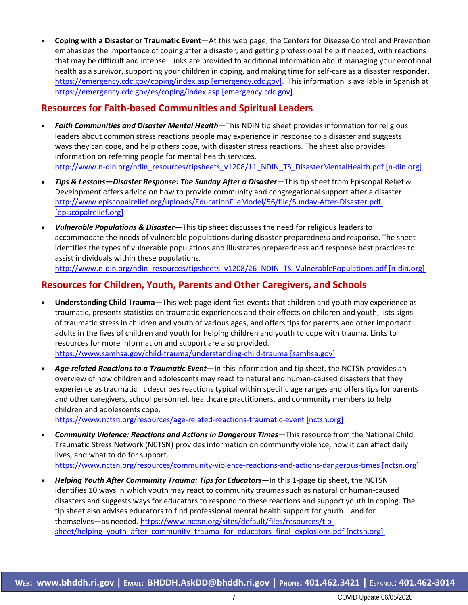• **Coping with a Disaster or Traumatic Event**—At this web page, the Centers for Disease Control and Prevention emphasizes the importance of coping after a disaster, and getting professional help if needed, with reactions that may be difficult and intense. Links are provided to additional information about managing your emotional health as a survivor, supporting your children in coping, and making time for self-care as a disaster responder. [https://emergency.cdc.gov/coping/index.asp \[emergency.cdc.gov\].](https://urldefense.proofpoint.com/v2/url?u=https-3A__emergency.cdc.gov_coping_index.asp&d=DwMFAg&c=tSLbvWYfvulPN3G_n48TUw&r=6-OWRSlFXeCVbviSLfef_RppXB0xzLIrJMXc-xlpuuA&m=lZCAo4nPkB8PvoFUhowsM1Q9alEuJi7g1HbD7G9YyZA&s=-2abJ3cnLIXSJ3dtkAFVNlYwDgQzCrBOHyoQdY-ftcM&e=) This information is available in Spanish at [https://emergency.cdc.gov/es/coping/index.asp \[emergency.cdc.gov\].](https://urldefense.proofpoint.com/v2/url?u=https-3A__emergency.cdc.gov_es_coping_index.asp&d=DwMFAg&c=tSLbvWYfvulPN3G_n48TUw&r=6-OWRSlFXeCVbviSLfef_RppXB0xzLIrJMXc-xlpuuA&m=lZCAo4nPkB8PvoFUhowsM1Q9alEuJi7g1HbD7G9YyZA&s=Q_JJ-wZ-Fzxg112p719xyCNP6fvYT5vTp9IZ8vqYOgU&e=)

## **Resources for Faith-based Communities and Spiritual Leaders**

- *Faith Communities and Disaster Mental Health*—This NDIN tip sheet provides information for religious leaders about common stress reactions people may experience in response to a disaster and suggests ways they can cope, and help others cope, with disaster stress reactions. The sheet also provides information on referring people for mental health services. [http://www.n-din.org/ndin\\_resources/tipsheets\\_v1208/11\\_NDIN\\_TS\\_DisasterMentalHealth.pdf \[n-din.org\]](http://www.n-din.org/ndin_resources/tipsheets_v1208/11_NDIN_TS_DisasterMentalHealth.pdf%20%5bn-din.org%5d)
- *Tips & Lessons—Disaster Response: The Sunday After a Disaster*—This tip sheet from Episcopal Relief & Development offers advice on how to provide community and congregational support after a disaster. [http://www.episcopalrelief.org/uploads/EducationFileModel/56/file/Sunday-After-Disaster.pdf](https://urldefense.proofpoint.com/v2/url?u=http-3A__www.episcopalrelief.org_uploads_EducationFileModel_56_file_Sunday-2DAfter-2DDisaster.pdf&d=DwMFAg&c=tSLbvWYfvulPN3G_n48TUw&r=6-OWRSlFXeCVbviSLfef_RppXB0xzLIrJMXc-xlpuuA&m=lZCAo4nPkB8PvoFUhowsM1Q9alEuJi7g1HbD7G9YyZA&s=zC1D8cCRHZTgmKzVjrQj1CdjTMqz2J4an9jDFUzuJ4s&e=)  [\[episcopalrelief.org\]](https://urldefense.proofpoint.com/v2/url?u=http-3A__www.episcopalrelief.org_uploads_EducationFileModel_56_file_Sunday-2DAfter-2DDisaster.pdf&d=DwMFAg&c=tSLbvWYfvulPN3G_n48TUw&r=6-OWRSlFXeCVbviSLfef_RppXB0xzLIrJMXc-xlpuuA&m=lZCAo4nPkB8PvoFUhowsM1Q9alEuJi7g1HbD7G9YyZA&s=zC1D8cCRHZTgmKzVjrQj1CdjTMqz2J4an9jDFUzuJ4s&e=)
- *Vulnerable Populations & Disaster*—This tip sheet discusses the need for religious leaders to accommodate the needs of vulnerable populations during disaster preparedness and response. The sheet identifies the types of vulnerable populations and illustrates preparedness and response best practices to assist individuals within these populations. [http://www.n-din.org/ndin\\_resources/tipsheets\\_v1208/26\\_NDIN\\_TS\\_VulnerablePopulations.pdf \[n-din.org\]](http://www.n-din.org/ndin_resources/tipsheets_v1208/26_NDIN_TS_VulnerablePopulations.pdf%20%5bn-din.org%5d)

## **Resources for Children, Youth, Parents and Other Caregivers, and Schools**

- **Understanding Child Trauma**—This web page identifies events that children and youth may experience as traumatic, presents statistics on traumatic experiences and their effects on children and youth, lists signs of traumatic stress in children and youth of various ages, and offers tips for parents and other important adults in the lives of children and youth for helping children and youth to cope with trauma. Links to resources for more information and support are also provided. [https://www.samhsa.gov/child-trauma/understanding-child-trauma \[samhsa.gov\]](https://urldefense.proofpoint.com/v2/url?u=https-3A__www.samhsa.gov_child-2Dtrauma_understanding-2Dchild-2Dtrauma&d=DwMFAg&c=tSLbvWYfvulPN3G_n48TUw&r=6-OWRSlFXeCVbviSLfef_RppXB0xzLIrJMXc-xlpuuA&m=lZCAo4nPkB8PvoFUhowsM1Q9alEuJi7g1HbD7G9YyZA&s=Oha6xqc5mrQy38tgHbqJQMHLO_Cngy2Z1i7kEK_QK4k&e=)
- *Age-related Reactions to a Traumatic Event*—In this information and tip sheet, the NCTSN provides an overview of how children and adolescents may react to natural and human-caused disasters that they experience as traumatic. It describes reactions typical within specific age ranges and offers tips for parents and other caregivers, school personnel, healthcare practitioners, and community members to help children and adolescents cope.

[https://www.nctsn.org/resources/age-related-reactions-traumatic-event \[nctsn.org\]](https://urldefense.proofpoint.com/v2/url?u=https-3A__www.nctsn.org_resources_age-2Drelated-2Dreactions-2Dtraumatic-2Devent&d=DwMFAg&c=tSLbvWYfvulPN3G_n48TUw&r=6-OWRSlFXeCVbviSLfef_RppXB0xzLIrJMXc-xlpuuA&m=lZCAo4nPkB8PvoFUhowsM1Q9alEuJi7g1HbD7G9YyZA&s=CNxHElbeBEuhXHoyUS94nzV0tyMLUTgPOiNJq6QHFbk&e=)

- *Community Violence: Reactions and Actions in Dangerous Times*—This resource from the National Child Traumatic Stress Network (NCTSN) provides information on community violence, how it can affect daily lives, and what to do for support. [https://www.nctsn.org/resources/community-violence-reactions-and-actions-dangerous-times \[nctsn.org\]](https://urldefense.proofpoint.com/v2/url?u=https-3A__www.nctsn.org_resources_community-2Dviolence-2Dreactions-2Dand-2Dactions-2Ddangerous-2Dtimes&d=DwMFAg&c=tSLbvWYfvulPN3G_n48TUw&r=6-OWRSlFXeCVbviSLfef_RppXB0xzLIrJMXc-xlpuuA&m=lZCAo4nPkB8PvoFUhowsM1Q9alEuJi7g1HbD7G9YyZA&s=hZ5Sk2xuUMqLi7CInXQnNTmGdg2K6uym8NOjSUtBa4s&e=)
- *Helping Youth After Community Trauma: Tips for Educators*—In this 1-page tip sheet, the NCTSN identifies 10 ways in which youth may react to community traumas such as natural or human-caused disasters and suggests ways for educators to respond to these reactions and support youth in coping. The tip sheet also advises educators to find professional mental health support for youth—and for themselves—as needed. [https://www.nctsn.org/sites/default/files/resources/tip](https://urldefense.proofpoint.com/v2/url?u=https-3A__www.nctsn.org_sites_default_files_resources_tip-2Dsheet_helping-5Fyouth-5Fafter-5Fcommunity-5Ftrauma-5Ffor-5Feducators-5Ffinal-5Fexplosions.pdf&d=DwMFAg&c=tSLbvWYfvulPN3G_n48TUw&r=6-OWRSlFXeCVbviSLfef_RppXB0xzLIrJMXc-xlpuuA&m=lZCAo4nPkB8PvoFUhowsM1Q9alEuJi7g1HbD7G9YyZA&s=hc8yjp_w4O0ePfc2LCHjasR8fgrEfTUPtyKt-L5QisQ&e=)[sheet/helping\\_youth\\_after\\_community\\_trauma\\_for\\_educators\\_final\\_explosions.pdf \[nctsn.org\]](https://urldefense.proofpoint.com/v2/url?u=https-3A__www.nctsn.org_sites_default_files_resources_tip-2Dsheet_helping-5Fyouth-5Fafter-5Fcommunity-5Ftrauma-5Ffor-5Feducators-5Ffinal-5Fexplosions.pdf&d=DwMFAg&c=tSLbvWYfvulPN3G_n48TUw&r=6-OWRSlFXeCVbviSLfef_RppXB0xzLIrJMXc-xlpuuA&m=lZCAo4nPkB8PvoFUhowsM1Q9alEuJi7g1HbD7G9YyZA&s=hc8yjp_w4O0ePfc2LCHjasR8fgrEfTUPtyKt-L5QisQ&e=)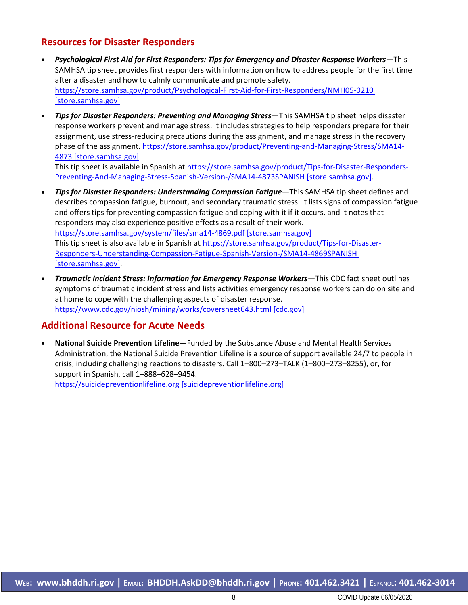## **Resources for Disaster Responders**

- *Psychological First Aid for First Responders: Tips for Emergency and Disaster Response Workers*—This SAMHSA tip sheet provides first responders with information on how to address people for the first time after a disaster and how to calmly communicate and promote safety. [https://store.samhsa.gov/product/Psychological-First-Aid-for-First-Responders/NMH05-0210](https://urldefense.proofpoint.com/v2/url?u=https-3A__store.samhsa.gov_product_Psychological-2DFirst-2DAid-2Dfor-2DFirst-2DResponders_NMH05-2D0210&d=DwMFAg&c=tSLbvWYfvulPN3G_n48TUw&r=6-OWRSlFXeCVbviSLfef_RppXB0xzLIrJMXc-xlpuuA&m=lZCAo4nPkB8PvoFUhowsM1Q9alEuJi7g1HbD7G9YyZA&s=K9AxB9EXpaBUjJXA_4-hFqceCUTFiidT-Ft-2e_LA2Q&e=)  [\[store.samhsa.gov\]](https://urldefense.proofpoint.com/v2/url?u=https-3A__store.samhsa.gov_product_Psychological-2DFirst-2DAid-2Dfor-2DFirst-2DResponders_NMH05-2D0210&d=DwMFAg&c=tSLbvWYfvulPN3G_n48TUw&r=6-OWRSlFXeCVbviSLfef_RppXB0xzLIrJMXc-xlpuuA&m=lZCAo4nPkB8PvoFUhowsM1Q9alEuJi7g1HbD7G9YyZA&s=K9AxB9EXpaBUjJXA_4-hFqceCUTFiidT-Ft-2e_LA2Q&e=)
- *Tips for Disaster Responders: Preventing and Managing Stress—*This SAMHSA tip sheet helps disaster response workers prevent and manage stress. It includes strategies to help responders prepare for their assignment, use stress-reducing precautions during the assignment, and manage stress in the recovery phase of the assignment. [https://store.samhsa.gov/product/Preventing-and-Managing-Stress/SMA14-](https://store.samhsa.gov/product/Preventing-and-Managing-Stress/SMA14-4873%20%5bstore.samhsa.gov%5d) [4873 \[store.samhsa.gov\]](https://store.samhsa.gov/product/Preventing-and-Managing-Stress/SMA14-4873%20%5bstore.samhsa.gov%5d)

This tip sheet is available in Spanish a[t https://store.samhsa.gov/product/Tips-for-Disaster-Responders-](https://urldefense.proofpoint.com/v2/url?u=https-3A__store.samhsa.gov_product_Tips-2Dfor-2DDisaster-2DResponders-2DPreventing-2DAnd-2DManaging-2DStress-2DSpanish-2DVersion-2D_SMA14-2D4873SPANISH&d=DwMFAg&c=tSLbvWYfvulPN3G_n48TUw&r=6-OWRSlFXeCVbviSLfef_RppXB0xzLIrJMXc-xlpuuA&m=lZCAo4nPkB8PvoFUhowsM1Q9alEuJi7g1HbD7G9YyZA&s=6urtea5stGkLkOqHu6ytA8yWOkIa-WEJmhZpjLtYtGk&e=)[Preventing-And-Managing-Stress-Spanish-Version-/SMA14-4873SPANISH \[store.samhsa.gov\].](https://urldefense.proofpoint.com/v2/url?u=https-3A__store.samhsa.gov_product_Tips-2Dfor-2DDisaster-2DResponders-2DPreventing-2DAnd-2DManaging-2DStress-2DSpanish-2DVersion-2D_SMA14-2D4873SPANISH&d=DwMFAg&c=tSLbvWYfvulPN3G_n48TUw&r=6-OWRSlFXeCVbviSLfef_RppXB0xzLIrJMXc-xlpuuA&m=lZCAo4nPkB8PvoFUhowsM1Q9alEuJi7g1HbD7G9YyZA&s=6urtea5stGkLkOqHu6ytA8yWOkIa-WEJmhZpjLtYtGk&e=)

- *Tips for Disaster Responders: Understanding Compassion Fatigue***—**This SAMHSA tip sheet defines and describes compassion fatigue, burnout, and secondary traumatic stress. It lists signs of compassion fatigue and offers tips for preventing compassion fatigue and coping with it if it occurs, and it notes that responders may also experience positive effects as a result of their work. [https://store.samhsa.gov/system/files/sma14-4869.pdf \[store.samhsa.gov\]](https://urldefense.proofpoint.com/v2/url?u=https-3A__store.samhsa.gov_system_files_sma14-2D4869.pdf&d=DwMFAg&c=tSLbvWYfvulPN3G_n48TUw&r=6-OWRSlFXeCVbviSLfef_RppXB0xzLIrJMXc-xlpuuA&m=lZCAo4nPkB8PvoFUhowsM1Q9alEuJi7g1HbD7G9YyZA&s=DHGQ90aMwFDL84Yw1bUeT0eOVZh5zgAfKdA1-TvU-IQ&e=) This tip sheet is also available in Spanish at [https://store.samhsa.gov/product/Tips-for-Disaster-](https://urldefense.proofpoint.com/v2/url?u=https-3A__store.samhsa.gov_product_Tips-2Dfor-2DDisaster-2DResponders-2DUnderstanding-2DCompassion-2DFatigue-2DSpanish-2DVersion-2D_SMA14-2D4869SPANISH&d=DwMFAg&c=tSLbvWYfvulPN3G_n48TUw&r=6-OWRSlFXeCVbviSLfef_RppXB0xzLIrJMXc-xlpuuA&m=lZCAo4nPkB8PvoFUhowsM1Q9alEuJi7g1HbD7G9YyZA&s=rR2J90QDmUEP5N0vKbvLNEo_77KCMi7Z6VXfHW4Urf0&e=)[Responders-Understanding-Compassion-Fatigue-Spanish-Version-/SMA14-4869SPANISH](https://urldefense.proofpoint.com/v2/url?u=https-3A__store.samhsa.gov_product_Tips-2Dfor-2DDisaster-2DResponders-2DUnderstanding-2DCompassion-2DFatigue-2DSpanish-2DVersion-2D_SMA14-2D4869SPANISH&d=DwMFAg&c=tSLbvWYfvulPN3G_n48TUw&r=6-OWRSlFXeCVbviSLfef_RppXB0xzLIrJMXc-xlpuuA&m=lZCAo4nPkB8PvoFUhowsM1Q9alEuJi7g1HbD7G9YyZA&s=rR2J90QDmUEP5N0vKbvLNEo_77KCMi7Z6VXfHW4Urf0&e=)  [\[store.samhsa.gov\].](https://urldefense.proofpoint.com/v2/url?u=https-3A__store.samhsa.gov_product_Tips-2Dfor-2DDisaster-2DResponders-2DUnderstanding-2DCompassion-2DFatigue-2DSpanish-2DVersion-2D_SMA14-2D4869SPANISH&d=DwMFAg&c=tSLbvWYfvulPN3G_n48TUw&r=6-OWRSlFXeCVbviSLfef_RppXB0xzLIrJMXc-xlpuuA&m=lZCAo4nPkB8PvoFUhowsM1Q9alEuJi7g1HbD7G9YyZA&s=rR2J90QDmUEP5N0vKbvLNEo_77KCMi7Z6VXfHW4Urf0&e=)
- *Traumatic Incident Stress: Information for Emergency Response Workers—*This CDC fact sheet outlines symptoms of traumatic incident stress and lists activities emergency response workers can do on site and at home to cope with the challenging aspects of disaster response. [https://www.cdc.gov/niosh/mining/works/coversheet643.html \[cdc.gov\]](https://urldefense.proofpoint.com/v2/url?u=https-3A__www.cdc.gov_niosh_mining_works_coversheet643.html&d=DwMFAg&c=tSLbvWYfvulPN3G_n48TUw&r=6-OWRSlFXeCVbviSLfef_RppXB0xzLIrJMXc-xlpuuA&m=lZCAo4nPkB8PvoFUhowsM1Q9alEuJi7g1HbD7G9YyZA&s=LwIRrEYk6MANOTZvFpGLLAWk8JSxzlg5-ng5CRhz9Ek&e=)

## **Additional Resource for Acute Needs**

• **National Suicide Prevention Lifeline**—Funded by the Substance Abuse and Mental Health Services Administration, the National Suicide Prevention Lifeline is a source of support available 24/7 to people in crisis, including challenging reactions to disasters. Call 1–800–273–TALK (1–800–273–8255), or, for support in Spanish, call 1–888–628–9454. [https://suicidepreventionlifeline.org \[suicidepreventionlifeline.org\]](https://urldefense.proofpoint.com/v2/url?u=https-3A__suicidepreventionlifeline.org_&d=DwMFAg&c=tSLbvWYfvulPN3G_n48TUw&r=6-OWRSlFXeCVbviSLfef_RppXB0xzLIrJMXc-xlpuuA&m=lZCAo4nPkB8PvoFUhowsM1Q9alEuJi7g1HbD7G9YyZA&s=bVvBJwhMnwDW2R8I88WQ0ytuRJNMOIWZzF-ubZ8q7mw&e=)

**WEB: [www.bhddh.ri.gov](http://www.bhddh.ri.gov/) | EMAIL: [BHDDH.AskDD@bhddh.ri.gov](mailto:BHDDH.AskDD@bhddh.ri.gov) | PHONE: 401.462.3421 |** ESPANOL**: 401.462-3014**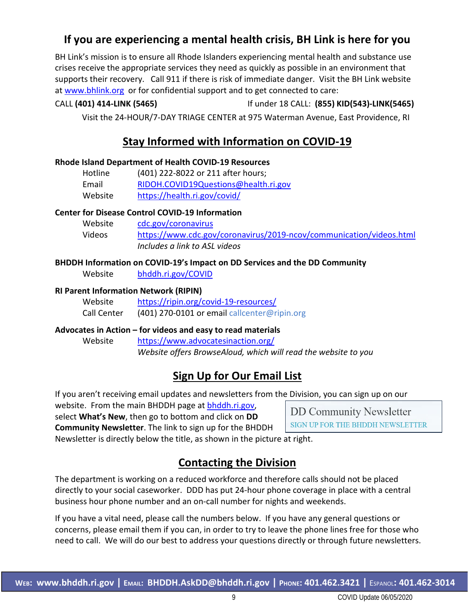## **If you are experiencing a mental health crisis, BH Link is here for you**

BH Link's mission is to ensure all Rhode Islanders experiencing mental health and substance use crises receive the appropriate services they need as quickly as possible in an environment that supports their recovery. Call 911 if there is risk of immediate danger. Visit the BH Link website at [www.bhlink.org](http://www.bhlink.org/) or for confidential support and to get connected to care:

## CALL **(401) 414-LINK (5465)** If under 18 CALL: **(855) KID(543)-LINK(5465)**

Visit the 24-HOUR/7-DAY TRIAGE CENTER at 975 Waterman Avenue, East Providence, RI

## **Stay Informed with Information on COVID-19**

### **Rhode Island Department of Health COVID-19 Resources**

| Hotline | (401) 222-8022 or 211 after hours;   |
|---------|--------------------------------------|
| Email   | RIDOH.COVID19Questions@health.ri.gov |
| Website | https://health.ri.gov/covid/         |

### **Center for Disease Control COVID-19 Information**

| Website | cdc.gov/coronavirus                                                 |
|---------|---------------------------------------------------------------------|
| Videos  | https://www.cdc.gov/coronavirus/2019-ncov/communication/videos.html |
|         | Includes a link to ASL videos                                       |

## **BHDDH Information on COVID-19's Impact on DD Services and the DD Community**

Website [bhddh.ri.gov/COVID](http://www.bhddh.ri.gov/COVID) 

#### **RI Parent Information Network (RIPIN)**

| Website     | https://ripin.org/covid-19-resources/        |
|-------------|----------------------------------------------|
| Call Center | (401) 270-0101 or email callcenter@ripin.org |

#### **Advocates in Action – for videos and easy to read materials**

Website <https://www.advocatesinaction.org/> *Website offers BrowseAloud, which will read the website to you*

## **Sign Up for Our Email List**

If you aren't receiving email updates and newsletters from the Division, you can sign up on our

website. From the main BHDDH page at [bhddh.ri.gov,](http://www.bhddh.ri.gov/) select **What's New**, then go to bottom and click on **DD Community Newsletter**. The link to sign up for the BHDDH

**DD Community Newsletter** SIGN UP FOR THE BHDDH NEWSLETTER

Newsletter is directly below the title, as shown in the picture at right.

## **Contacting the Division**

The department is working on a reduced workforce and therefore calls should not be placed directly to your social caseworker. DDD has put 24-hour phone coverage in place with a central business hour phone number and an on-call number for nights and weekends.

If you have a vital need, please call the numbers below. If you have any general questions or concerns, please email them if you can, in order to try to leave the phone lines free for those who need to call. We will do our best to address your questions directly or through future newsletters.